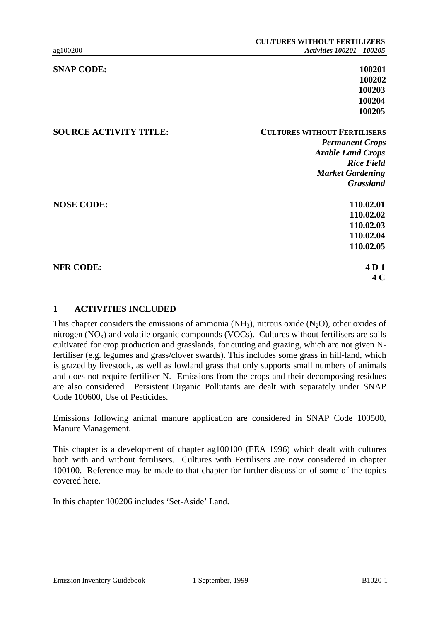| <b>SNAP CODE:</b>             | 100201                              |
|-------------------------------|-------------------------------------|
|                               | 100202                              |
|                               | 100203                              |
|                               | 100204                              |
|                               | 100205                              |
| <b>SOURCE ACTIVITY TITLE:</b> | <b>CULTURES WITHOUT FERTILISERS</b> |
|                               | <b>Permanent Crops</b>              |
|                               | <b>Arable Land Crops</b>            |
|                               | <b>Rice Field</b>                   |
|                               | <b>Market Gardening</b>             |
|                               | <b>Grassland</b>                    |
| <b>NOSE CODE:</b>             | 110.02.01                           |
|                               | 110.02.02                           |
|                               | 110.02.03                           |
|                               | 110.02.04                           |
|                               | 110.02.05                           |
| <b>NFR CODE:</b>              | 4D <sub>1</sub>                     |
|                               | 4 <sub>C</sub>                      |
|                               |                                     |

#### **1 ACTIVITIES INCLUDED**

This chapter considers the emissions of ammonia ( $NH<sub>3</sub>$ ), nitrous oxide (N<sub>2</sub>O), other oxides of nitrogen  $(NO_x)$  and volatile organic compounds  $(VOCs)$ . Cultures without fertilisers are soils cultivated for crop production and grasslands, for cutting and grazing, which are not given Nfertiliser (e.g. legumes and grass/clover swards). This includes some grass in hill-land, which is grazed by livestock, as well as lowland grass that only supports small numbers of animals and does not require fertiliser-N. Emissions from the crops and their decomposing residues are also considered. Persistent Organic Pollutants are dealt with separately under SNAP Code 100600, Use of Pesticides.

Emissions following animal manure application are considered in SNAP Code 100500, Manure Management.

This chapter is a development of chapter ag100100 (EEA 1996) which dealt with cultures both with and without fertilisers. Cultures with Fertilisers are now considered in chapter 100100. Reference may be made to that chapter for further discussion of some of the topics covered here.

In this chapter 100206 includes 'Set-Aside' Land.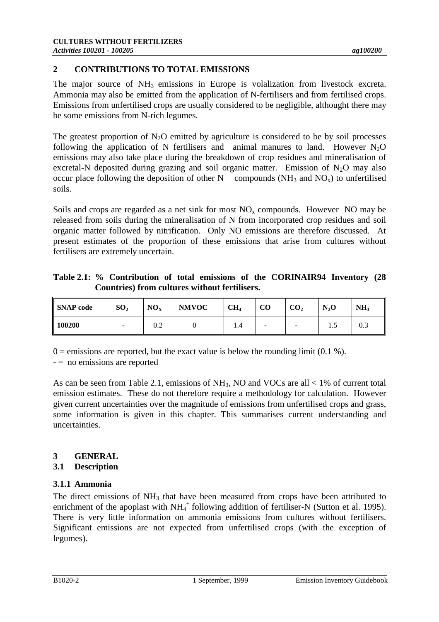# **2 CONTRIBUTIONS TO TOTAL EMISSIONS**

The major source of  $NH_3$  emissions in Europe is volalization from livestock excreta. Ammonia may also be emitted from the application of N-fertilisers and from fertilised crops. Emissions from unfertilised crops are usually considered to be negligible, althought there may be some emissions from N-rich legumes.

The greatest proportion of  $N_2O$  emitted by agriculture is considered to be by soil processes following the application of N fertilisers and animal manures to land. However  $N_2O$ emissions may also take place during the breakdown of crop residues and mineralisation of excretal-N deposited during grazing and soil organic matter. Emission of  $N_2O$  may also occur place following the deposition of other N compounds  $(NH_3$  and  $NO_x)$  to unfertilised soils.

Soils and crops are regarded as a net sink for most  $NO<sub>x</sub>$  compounds. However NO may be released from soils during the mineralisation of N from incorporated crop residues and soil organic matter followed by nitrification. Only NO emissions are therefore discussed. At present estimates of the proportion of these emissions that arise from cultures without fertilisers are extremely uncertain.

**Table 2.1: % Contribution of total emissions of the CORINAIR94 Inventory (28 Countries) from cultures without fertilisers.**

| <b>SNAP</b> code   | SO <sub>2</sub>          | NO <sub>X</sub> | <b>NMVOC</b> | CH <sub>4</sub> | CO                       | CO <sub>2</sub>          | $N_2$ O | NH <sub>3</sub> |
|--------------------|--------------------------|-----------------|--------------|-----------------|--------------------------|--------------------------|---------|-----------------|
| $\parallel$ 100200 | $\overline{\phantom{a}}$ | 0.2             |              | 1.4             | $\overline{\phantom{a}}$ | $\overline{\phantom{0}}$ | ر. د    | 0.3             |

 $0 =$  emissions are reported, but the exact value is below the rounding limit (0.1 %).

- = no emissions are reported

As can be seen from Table 2.1, emissions of  $NH_3$ , NO and VOCs are all < 1% of current total emission estimates. These do not therefore require a methodology for calculation. However given current uncertainties over the magnitude of emissions from unfertilised crops and grass, some information is given in this chapter. This summarises current understanding and uncertainties.

# **3 GENERAL**

### **3.1 Description**

# **3.1.1 Ammonia**

The direct emissions of  $NH<sub>3</sub>$  that have been measured from crops have been attributed to enrichment of the apoplast with  $NH_4^+$  following addition of fertiliser-N (Sutton et al. 1995). There is very little information on ammonia emissions from cultures without fertilisers. Significant emissions are not expected from unfertilised crops (with the exception of legumes).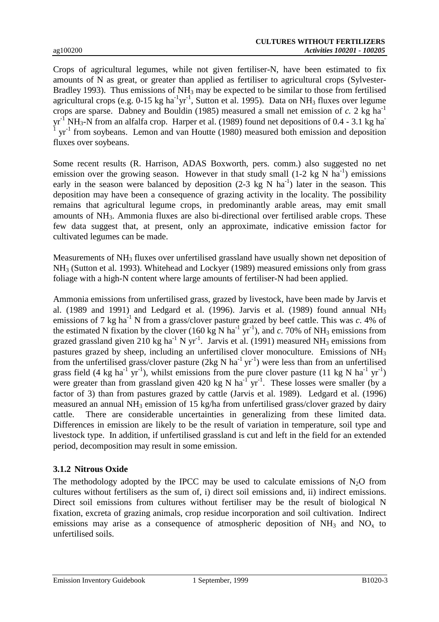Crops of agricultural legumes, while not given fertiliser-N, have been estimated to fix amounts of N as great, or greater than applied as fertiliser to agricultural crops (Sylvester-Bradley 1993). Thus emissions of  $NH_3$  may be expected to be similar to those from fertilised agricultural crops (e.g.  $0-15$  kg ha<sup>-1</sup>yr<sup>-1</sup>, Sutton et al. 1995). Data on NH<sub>3</sub> fluxes over legume crops are sparse. Dabney and Bouldin (1985) measured a small net emission of  $c$ . 2 kg ha<sup>-1</sup>  $yr^{-1} NH_3-N$  from an alfalfa crop. Harper et al. (1989) found net depositions of 0.4 - 3.1 kg ha-1  $yr<sup>-1</sup>$  from soybeans. Lemon and van Houtte (1980) measured both emission and deposition fluxes over soybeans.

Some recent results (R. Harrison, ADAS Boxworth, pers. comm.) also suggested no net emission over the growing season. However in that study small  $(1-2 \text{ kg N} \text{ ha}^{-1})$  emissions early in the season were balanced by deposition  $(2-3 \text{ kg N} \text{ ha}^{-1})$  later in the season. This deposition may have been a consequence of grazing activity in the locality. The possibility remains that agricultural legume crops, in predominantly arable areas, may emit small amounts of NH3. Ammonia fluxes are also bi-directional over fertilised arable crops. These few data suggest that, at present, only an approximate, indicative emission factor for cultivated legumes can be made.

Measurements of NH<sub>3</sub> fluxes over unfertilised grassland have usually shown net deposition of NH3 (Sutton et al. 1993). Whitehead and Lockyer (1989) measured emissions only from grass foliage with a high-N content where large amounts of fertiliser-N had been applied.

Ammonia emissions from unfertilised grass, grazed by livestock, have been made by Jarvis et al. (1989 and 1991) and Ledgard et al. (1996). Jarvis et al. (1989) found annual  $NH<sub>3</sub>$ emissions of 7 kg ha<sup>-1</sup> N from a grass/clover pasture grazed by beef cattle. This was  $c$ . 4% of the estimated N fixation by the clover (160 kg N ha<sup>-1</sup> yr<sup>-1</sup>), and c. 70% of NH<sub>3</sub> emissions from grazed grassland given 210 kg ha<sup>-1</sup> N yr<sup>-1</sup>. Jarvis et al. (1991) measured NH<sub>3</sub> emissions from pastures grazed by sheep, including an unfertilised clover monoculture. Emissions of NH<sub>3</sub> from the unfertilised grass/clover pasture (2kg N ha<sup>-1</sup> yr<sup>-1</sup>) were less than from an unfertilised grass field (4 kg ha<sup>-1</sup> yr<sup>-1</sup>), whilst emissions from the pure clover pasture (11 kg N ha<sup>-1</sup> yr<sup>-1</sup>) were greater than from grassland given 420 kg N ha<sup>-1</sup> yr<sup>-1</sup>. These losses were smaller (by a factor of 3) than from pastures grazed by cattle (Jarvis et al. 1989). Ledgard et al. (1996) measured an annual NH3 emission of 15 kg/ha from unfertilised grass/clover grazed by dairy cattle. There are considerable uncertainties in generalizing from these limited data. Differences in emission are likely to be the result of variation in temperature, soil type and livestock type. In addition, if unfertilised grassland is cut and left in the field for an extended period, decomposition may result in some emission.

### **3.1.2 Nitrous Oxide**

The methodology adopted by the IPCC may be used to calculate emissions of  $N_2O$  from cultures without fertilisers as the sum of, i) direct soil emissions and, ii) indirect emissions. Direct soil emissions from cultures without fertiliser may be the result of biological N fixation, excreta of grazing animals, crop residue incorporation and soil cultivation. Indirect emissions may arise as a consequence of atmospheric deposition of  $NH_3$  and  $NO_x$  to unfertilised soils.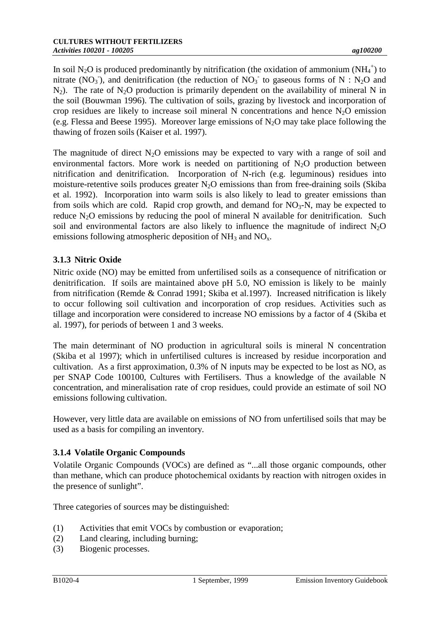In soil N<sub>2</sub>O is produced predominantly by nitrification (the oxidation of ammonium (NH<sub>4</sub><sup>+</sup>) to nitrate (NO<sub>3</sub>), and denitrification (the reduction of NO<sub>3</sub> to gaseous forms of N : N<sub>2</sub>O and  $N_2$ ). The rate of  $N_2O$  production is primarily dependent on the availability of mineral N in the soil (Bouwman 1996). The cultivation of soils, grazing by livestock and incorporation of crop residues are likely to increase soil mineral N concentrations and hence  $N_2O$  emission (e.g. Flessa and Beese 1995). Moreover large emissions of  $N_2O$  may take place following the thawing of frozen soils (Kaiser et al. 1997).

The magnitude of direct  $N_2O$  emissions may be expected to vary with a range of soil and environmental factors. More work is needed on partitioning of  $N_2O$  production between nitrification and denitrification. Incorporation of N-rich (e.g. leguminous) residues into moisture-retentive soils produces greater  $N_2O$  emissions than from free-draining soils (Skiba et al. 1992). Incorporation into warm soils is also likely to lead to greater emissions than from soils which are cold. Rapid crop growth, and demand for  $NO<sub>3</sub>-N$ , may be expected to reduce  $N_2O$  emissions by reducing the pool of mineral N available for denitrification. Such soil and environmental factors are also likely to influence the magnitude of indirect  $N_2O$ emissions following atmospheric deposition of  $NH<sub>3</sub>$  and  $NO<sub>x</sub>$ .

# **3.1.3 Nitric Oxide**

Nitric oxide (NO) may be emitted from unfertilised soils as a consequence of nitrification or denitrification. If soils are maintained above pH 5.0, NO emission is likely to be mainly from nitrification (Remde & Conrad 1991; Skiba et al.1997). Increased nitrification is likely to occur following soil cultivation and incorporation of crop residues. Activities such as tillage and incorporation were considered to increase NO emissions by a factor of 4 (Skiba et al. 1997), for periods of between 1 and 3 weeks.

The main determinant of NO production in agricultural soils is mineral N concentration (Skiba et al 1997); which in unfertilised cultures is increased by residue incorporation and cultivation. As a first approximation, 0.3% of N inputs may be expected to be lost as NO, as per SNAP Code 100100, Cultures with Fertilisers. Thus a knowledge of the available N concentration, and mineralisation rate of crop residues, could provide an estimate of soil NO emissions following cultivation.

However, very little data are available on emissions of NO from unfertilised soils that may be used as a basis for compiling an inventory.

### **3.1.4 Volatile Organic Compounds**

Volatile Organic Compounds (VOCs) are defined as "...all those organic compounds, other than methane, which can produce photochemical oxidants by reaction with nitrogen oxides in the presence of sunlight".

Three categories of sources may be distinguished:

- (1) Activities that emit VOCs by combustion or evaporation;
- (2) Land clearing, including burning;
- (3) Biogenic processes.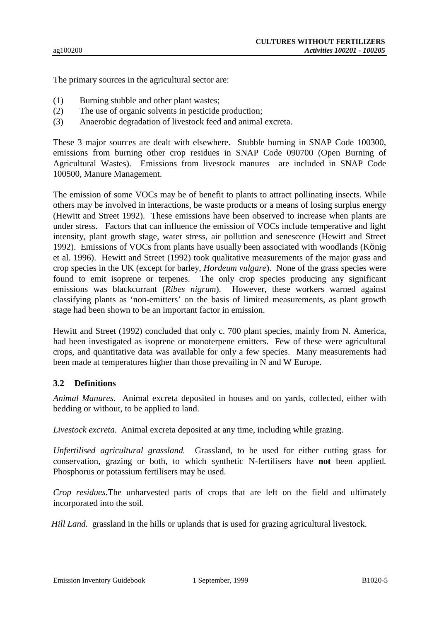The primary sources in the agricultural sector are:

- (1) Burning stubble and other plant wastes;
- (2) The use of organic solvents in pesticide production;
- (3) Anaerobic degradation of livestock feed and animal excreta.

These 3 major sources are dealt with elsewhere. Stubble burning in SNAP Code 100300, emissions from burning other crop residues in SNAP Code 090700 (Open Burning of Agricultural Wastes). Emissions from livestock manures are included in SNAP Code 100500, Manure Management.

The emission of some VOCs may be of benefit to plants to attract pollinating insects. While others may be involved in interactions, be waste products or a means of losing surplus energy (Hewitt and Street 1992). These emissions have been observed to increase when plants are under stress. Factors that can influence the emission of VOCs include temperative and light intensity, plant growth stage, water stress, air pollution and senescence (Hewitt and Street 1992). Emissions of VOCs from plants have usually been associated with woodlands (König et al. 1996). Hewitt and Street (1992) took qualitative measurements of the major grass and crop species in the UK (except for barley, *Hordeum vulgare*). None of the grass species were found to emit isoprene or terpenes. The only crop species producing any significant emissions was blackcurrant (*Ribes nigrum*). However, these workers warned against classifying plants as 'non-emitters' on the basis of limited measurements, as plant growth stage had been shown to be an important factor in emission.

Hewitt and Street (1992) concluded that only c. 700 plant species, mainly from N. America, had been investigated as isoprene or monoterpene emitters. Few of these were agricultural crops, and quantitative data was available for only a few species. Many measurements had been made at temperatures higher than those prevailing in N and W Europe.

#### **3.2 Definitions**

*Animal Manures.* Animal excreta deposited in houses and on yards, collected, either with bedding or without, to be applied to land.

*Livestock excreta.* Animal excreta deposited at any time, including while grazing.

*Unfertilised agricultural grassland.* Grassland, to be used for either cutting grass for conservation, grazing or both, to which synthetic N-fertilisers have **not** been applied. Phosphorus or potassium fertilisers may be used.

*Crop residues.*The unharvested parts of crops that are left on the field and ultimately incorporated into the soil.

*Hill Land.* grassland in the hills or uplands that is used for grazing agricultural livestock.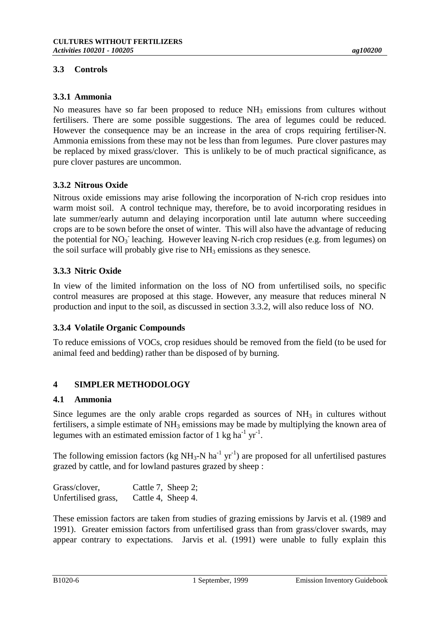# **3.3 Controls**

No measures have so far been proposed to reduce  $NH_3$  emissions from cultures without fertilisers. There are some possible suggestions. The area of legumes could be reduced. However the consequence may be an increase in the area of crops requiring fertiliser-N. Ammonia emissions from these may not be less than from legumes. Pure clover pastures may be replaced by mixed grass/clover. This is unlikely to be of much practical significance, as pure clover pastures are uncommon.

# **3.3.2 Nitrous Oxide**

Nitrous oxide emissions may arise following the incorporation of N-rich crop residues into warm moist soil. A control technique may, therefore, be to avoid incorporating residues in late summer/early autumn and delaying incorporation until late autumn where succeeding crops are to be sown before the onset of winter. This will also have the advantage of reducing the potential for  $NO_3$  leaching. However leaving N-rich crop residues (e.g. from legumes) on the soil surface will probably give rise to  $NH_3$  emissions as they senesce.

# **3.3.3 Nitric Oxide**

In view of the limited information on the loss of NO from unfertilised soils, no specific control measures are proposed at this stage. However, any measure that reduces mineral N production and input to the soil, as discussed in section 3.3.2, will also reduce loss of NO.

### **3.3.4 Volatile Organic Compounds**

To reduce emissions of VOCs, crop residues should be removed from the field (to be used for animal feed and bedding) rather than be disposed of by burning.

# **4 SIMPLER METHODOLOGY**

### **4.1 Ammonia**

Since legumes are the only arable crops regarded as sources of  $NH<sub>3</sub>$  in cultures without fertilisers, a simple estimate of  $NH_3$  emissions may be made by multiplying the known area of legumes with an estimated emission factor of 1 kg ha<sup>-1</sup> yr<sup>-1</sup>.

The following emission factors (kg  $NH_3-N$  ha<sup>-1</sup> yr<sup>-1</sup>) are proposed for all unfertilised pastures grazed by cattle, and for lowland pastures grazed by sheep :

| Grass/clover,       | Cattle 7, Sheep 2; |
|---------------------|--------------------|
| Unfertilised grass, | Cattle 4, Sheep 4. |

These emission factors are taken from studies of grazing emissions by Jarvis et al. (1989 and 1991). Greater emission factors from unfertilised grass than from grass/clover swards, may appear contrary to expectations. Jarvis et al. (1991) were unable to fully explain this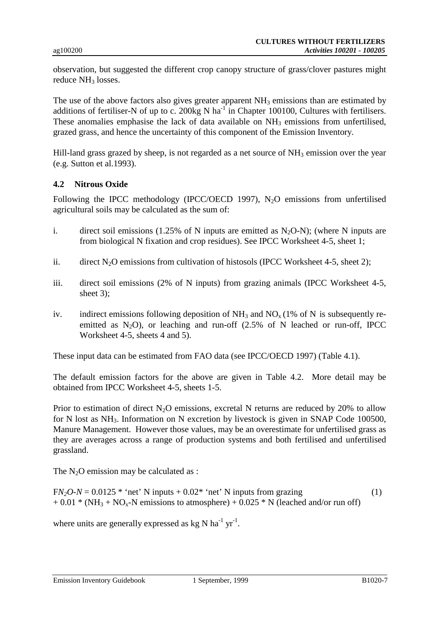observation, but suggested the different crop canopy structure of grass/clover pastures might reduce NH<sub>3</sub> losses.

The use of the above factors also gives greater apparent  $NH<sub>3</sub>$  emissions than are estimated by additions of fertiliser-N of up to c. 200kg N ha<sup>-1</sup> in Chapter 100100, Cultures with fertilisers. These anomalies emphasise the lack of data available on  $NH_3$  emissions from unfertilised, grazed grass, and hence the uncertainty of this component of the Emission Inventory.

Hill-land grass grazed by sheep, is not regarded as a net source of  $NH_3$  emission over the year (e.g. Sutton et al.1993).

#### **4.2 Nitrous Oxide**

Following the IPCC methodology (IPCC/OECD 1997),  $N_2O$  emissions from unfertilised agricultural soils may be calculated as the sum of:

- i. direct soil emissions (1.25% of N inputs are emitted as  $N_2O-N$ ); (where N inputs are from biological N fixation and crop residues). See IPCC Worksheet 4-5, sheet 1;
- ii. direct  $N_2O$  emissions from cultivation of histosols (IPCC Worksheet 4-5, sheet 2);
- iii. direct soil emissions (2% of N inputs) from grazing animals (IPCC Worksheet 4-5, sheet 3);
- iv. indirect emissions following deposition of  $NH_3$  and  $NO_x (1\%$  of N is subsequently reemitted as  $N_2O$ ), or leaching and run-off (2.5% of N leached or run-off, IPCC Worksheet 4-5, sheets 4 and 5).

These input data can be estimated from FAO data (see IPCC/OECD 1997) (Table 4.1).

The default emission factors for the above are given in Table 4.2. More detail may be obtained from IPCC Worksheet 4-5, sheets 1-5.

Prior to estimation of direct  $N_2O$  emissions, excretal N returns are reduced by 20% to allow for N lost as NH<sub>3</sub>. Information on N excretion by livestock is given in SNAP Code 100500, Manure Management. However those values, may be an overestimate for unfertilised grass as they are averages across a range of production systems and both fertilised and unfertilised grassland.

The  $N_2O$  emission may be calculated as :

 $FN<sub>2</sub>O-N = 0.0125$  \* 'net' N inputs +  $0.02$  \* 'net' N inputs from grazing (1)  $+ 0.01 * (NH<sub>3</sub> + NO<sub>x</sub> - N$  emissions to atmosphere)  $+ 0.025 * N$  (leached and/or run off)

where units are generally expressed as kg N ha<sup>-1</sup> yr<sup>-1</sup>.

Emission Inventory Guidebook 1 September, 1999 1020-7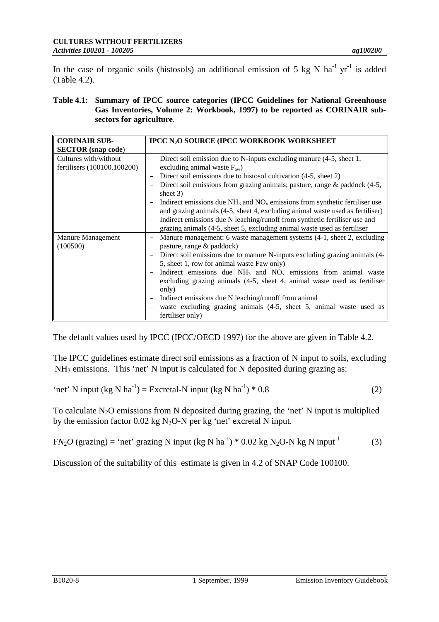In the case of organic soils (histosols) an additional emission of 5 kg N ha<sup>-1</sup> yr<sup>-1</sup> is added (Table 4.2).

**Table 4.1: Summary of IPCC source categories (IPCC Guidelines for National Greenhouse Gas Inventories, Volume 2: Workbook, 1997) to be reported as CORINAIR subsectors for agriculture**.

| <b>CORINAIR SUB-</b>        | <b>IPCC N<sub>2</sub>O SOURCE (IPCC WORKBOOK WORKSHEET)</b>                      |
|-----------------------------|----------------------------------------------------------------------------------|
| <b>SECTOR</b> (snap code)   |                                                                                  |
| Cultures with/without       | Direct soil emission due to N-inputs excluding manure (4-5, sheet 1,             |
| fertilisers (100100.100200) | excluding animal waste $F_{aw}$ )                                                |
|                             | Direct soil emissions due to histosol cultivation (4-5, sheet 2)                 |
|                             | Direct soil emissions from grazing animals; pasture, range $\&$ paddock (4-5,    |
|                             | sheet $3)$                                                                       |
|                             | Indirect emissions due $NH_3$ and $NO_x$ emissions from synthetic fertiliser use |
|                             | and grazing animals (4-5, sheet 4, excluding animal waste used as fertiliser)    |
|                             | Indirect emissions due N leaching/runoff from synthetic fertiliser use and       |
|                             | grazing animals (4-5, sheet 5, excluding animal waste used as fertiliser         |
| Manure Management           | Manure management: 6 waste management systems (4-1, sheet 2, excluding           |
| (100500)                    | pasture, range & paddock)                                                        |
|                             | Direct soil emissions due to manure N-inputs excluding grazing animals (4-       |
|                             | 5, sheet 1, row for animal waste Faw only)                                       |
|                             | Indirect emissions due $NH_3$ and $NO_x$ emissions from animal waste             |
|                             | excluding grazing animals (4-5, sheet 4, animal waste used as fertiliser         |
|                             | only)                                                                            |
|                             | Indirect emissions due N leaching/runoff from animal                             |
|                             | waste excluding grazing animals (4-5, sheet 5, animal waste used as              |
|                             | fertiliser only)                                                                 |

The default values used by IPCC (IPCC/OECD 1997) for the above are given in Table 4.2.

The IPCC guidelines estimate direct soil emissions as a fraction of N input to soils, excluding  $NH<sub>3</sub>$  emissions. This 'net' N input is calculated for N deposited during grazing as:

$$
"net" N input (kg N ha-1) = Excretal-N input (kg N ha-1) * 0.8
$$
 (2)

To calculate  $N_2O$  emissions from N deposited during grazing, the 'net' N input is multiplied by the emission factor  $0.02$  kg N<sub>2</sub>O-N per kg 'net' excretal N input.

 $FN<sub>2</sub>O$  (grazing) = 'net' grazing N input (kg N ha<sup>-1</sup>) \* 0.02 kg N<sub>2</sub>O-N kg N input<sup>-1</sup> (3)

Discussion of the suitability of this estimate is given in 4.2 of SNAP Code 100100.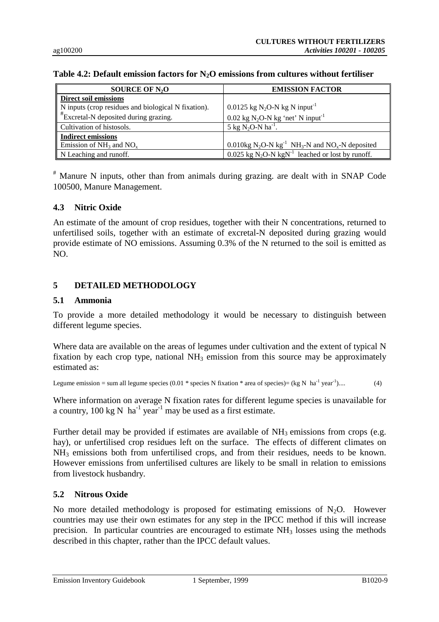| SOURCE OF $N_2O$                                    | <b>EMISSION FACTOR</b>                                                                |
|-----------------------------------------------------|---------------------------------------------------------------------------------------|
| <b>Direct soil emissions</b>                        |                                                                                       |
| N inputs (crop residues and biological N fixation). | 0.0125 kg N <sub>2</sub> O-N kg N input <sup>-1</sup>                                 |
| $*$ Excretal-N deposited during grazing.            | $0.02$ kg N <sub>2</sub> O-N kg 'net' N input <sup>-1</sup>                           |
| Cultivation of histosols.                           | 5 kg N <sub>2</sub> O-N ha <sup>-1</sup> .                                            |
| <b>Indirect emissions</b>                           |                                                                                       |
| Emission of $NH_3$ and $NO_x$                       | 0.010kg $N_2O-N$ kg <sup>-1</sup> NH <sub>3</sub> -N and NO <sub>x</sub> -N deposited |
| N Leaching and runoff.                              | $0.025$ kg N <sub>2</sub> O-N kgN <sup>-1</sup> leached or lost by runoff.            |

#### **Table 4.2: Default emission factors for N2O emissions from cultures without fertiliser**

# Manure N inputs, other than from animals during grazing. are dealt with in SNAP Code 100500, Manure Management.

#### **4.3 Nitric Oxide**

An estimate of the amount of crop residues, together with their N concentrations, returned to unfertilised soils, together with an estimate of excretal-N deposited during grazing would provide estimate of NO emissions. Assuming 0.3% of the N returned to the soil is emitted as NO.

### **5 DETAILED METHODOLOGY**

#### **5.1 Ammonia**

To provide a more detailed methodology it would be necessary to distinguish between different legume species.

Where data are available on the areas of legumes under cultivation and the extent of typical N fixation by each crop type, national  $NH<sub>3</sub>$  emission from this source may be approximately estimated as:

Legume emission = sum all legume species (0.01  $*$  species N fixation  $*$  area of species)= (kg N ha<sup>-1</sup> year<sup>-1</sup>).... (4)

Where information on average N fixation rates for different legume species is unavailable for a country,  $100 \text{ kg N}$  ha<sup>-1</sup> year<sup>-1</sup> may be used as a first estimate.

Further detail may be provided if estimates are available of  $NH<sub>3</sub>$  emissions from crops (e.g. hay), or unfertilised crop residues left on the surface. The effects of different climates on NH3 emissions both from unfertilised crops, and from their residues, needs to be known. However emissions from unfertilised cultures are likely to be small in relation to emissions from livestock husbandry.

### **5.2 Nitrous Oxide**

No more detailed methodology is proposed for estimating emissions of  $N_2O$ . However countries may use their own estimates for any step in the IPCC method if this will increase precision. In particular countries are encouraged to estimate  $NH<sub>3</sub>$  losses using the methods described in this chapter, rather than the IPCC default values.

Emission Inventory Guidebook 1 September, 1999 1020-9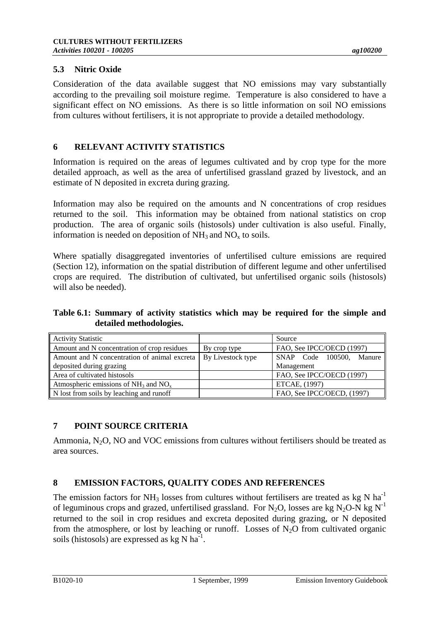#### **5.3 Nitric Oxide**

Consideration of the data available suggest that NO emissions may vary substantially according to the prevailing soil moisture regime. Temperature is also considered to have a significant effect on NO emissions. As there is so little information on soil NO emissions from cultures without fertilisers, it is not appropriate to provide a detailed methodology.

#### **6 RELEVANT ACTIVITY STATISTICS**

Information is required on the areas of legumes cultivated and by crop type for the more detailed approach, as well as the area of unfertilised grassland grazed by livestock, and an estimate of N deposited in excreta during grazing.

Information may also be required on the amounts and N concentrations of crop residues returned to the soil. This information may be obtained from national statistics on crop production. The area of organic soils (histosols) under cultivation is also useful. Finally, information is needed on deposition of  $NH<sub>3</sub>$  and  $NO<sub>x</sub>$  to soils.

Where spatially disaggregated inventories of unfertilised culture emissions are required (Section 12), information on the spatial distribution of different legume and other unfertilised crops are required. The distribution of cultivated, but unfertilised organic soils (histosols) will also be needed).

### **Table 6.1: Summary of activity statistics which may be required for the simple and detailed methodologies.**

| <b>Activity Statistic</b>                    |                   | Source                     |  |
|----------------------------------------------|-------------------|----------------------------|--|
| Amount and N concentration of crop residues  | By crop type      | FAO, See IPCC/OECD (1997)  |  |
| Amount and N concentration of animal excreta | By Livestock type | SNAP Code 100500, Manure   |  |
| deposited during grazing                     |                   | Management                 |  |
| Area of cultivated histosols                 |                   | FAO, See IPCC/OECD (1997)  |  |
| Atmospheric emissions of $NH_3$ and $NOx$    |                   | ETCAE, (1997)              |  |
| N lost from soils by leaching and runoff     |                   | FAO, See IPCC/OECD, (1997) |  |

### **7 POINT SOURCE CRITERIA**

Ammonia,  $N_2O$ , NO and VOC emissions from cultures without fertilisers should be treated as area sources.

### **8 EMISSION FACTORS, QUALITY CODES AND REFERENCES**

The emission factors for NH<sub>3</sub> losses from cultures without fertilisers are treated as kg N ha<sup>-1</sup> of leguminous crops and grazed, unfertilised grassland. For N<sub>2</sub>O, losses are kg N<sub>2</sub>O-N kg N<sup>-1</sup> returned to the soil in crop residues and excreta deposited during grazing, or N deposited from the atmosphere, or lost by leaching or runoff. Losses of  $N_2O$  from cultivated organic soils (histosols) are expressed as  $kg \text{N}$  ha<sup>-1</sup>.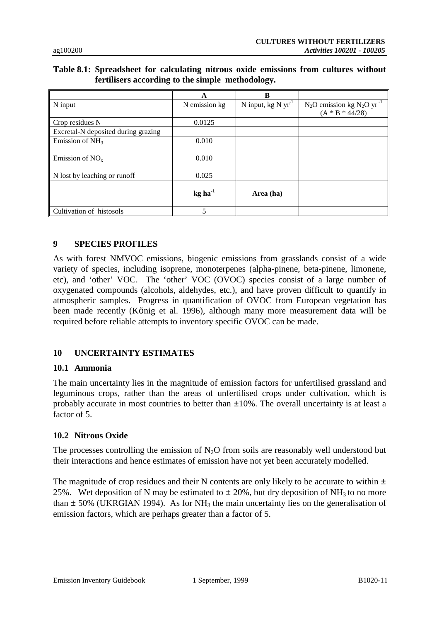## **Table 8.1: Spreadsheet for calculating nitrous oxide emissions from cultures without fertilisers according to the simple methodology.**

|                                     | A                     | B                       |                                            |
|-------------------------------------|-----------------------|-------------------------|--------------------------------------------|
| N input                             | N emission kg         | N input, $kg N yr^{-1}$ | $N_2O$ emission kg $N_2O$ yr <sup>-1</sup> |
|                                     |                       |                         | $(A * B * 44/28)$                          |
| Crop residues N                     | 0.0125                |                         |                                            |
| Excretal-N deposited during grazing |                       |                         |                                            |
| Emission of $NH3$                   | 0.010                 |                         |                                            |
| Emission of $NOx$                   | 0.010                 |                         |                                            |
| N lost by leaching or runoff        | 0.025                 |                         |                                            |
|                                     | $kg$ ha <sup>-1</sup> | Area (ha)               |                                            |
| Cultivation of histosols            | 5                     |                         |                                            |

### **9 SPECIES PROFILES**

As with forest NMVOC emissions, biogenic emissions from grasslands consist of a wide variety of species, including isoprene, monoterpenes (alpha-pinene, beta-pinene, limonene, etc), and 'other' VOC. The 'other' VOC (OVOC) species consist of a large number of oxygenated compounds (alcohols, aldehydes, etc.), and have proven difficult to quantify in atmospheric samples. Progress in quantification of OVOC from European vegetation has been made recently (König et al. 1996), although many more measurement data will be required before reliable attempts to inventory specific OVOC can be made.

### **10 UNCERTAINTY ESTIMATES**

#### **10.1 Ammonia**

The main uncertainty lies in the magnitude of emission factors for unfertilised grassland and leguminous crops, rather than the areas of unfertilised crops under cultivation, which is probably accurate in most countries to better than ±10%. The overall uncertainty is at least a factor of 5.

### **10.2 Nitrous Oxide**

The processes controlling the emission of  $N_2O$  from soils are reasonably well understood but their interactions and hence estimates of emission have not yet been accurately modelled.

The magnitude of crop residues and their N contents are only likely to be accurate to within  $\pm$ 25%. Wet deposition of N may be estimated to  $\pm$  20%, but dry deposition of NH<sub>3</sub> to no more than  $\pm$  50% (UKRGIAN 1994). As for NH<sub>3</sub> the main uncertainty lies on the generalisation of emission factors, which are perhaps greater than a factor of 5.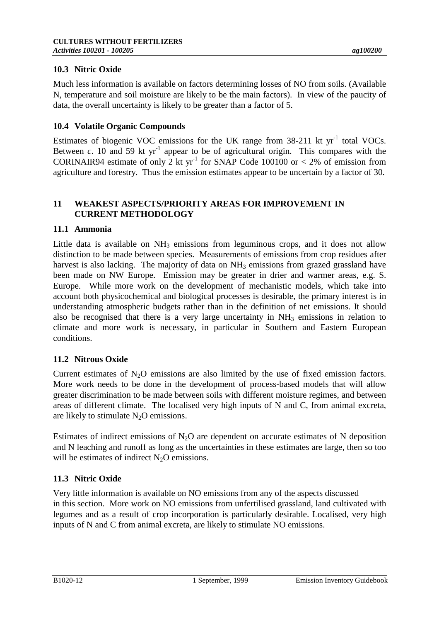# **10.3 Nitric Oxide**

Much less information is available on factors determining losses of NO from soils. (Available N, temperature and soil moisture are likely to be the main factors). In view of the paucity of data, the overall uncertainty is likely to be greater than a factor of 5.

### **10.4 Volatile Organic Compounds**

Estimates of biogenic VOC emissions for the UK range from  $38-211$  kt yr<sup>-1</sup> total VOCs. Between *c*. 10 and 59 kt  $yr^{-1}$  appear to be of agricultural origin. This compares with the CORINAIR94 estimate of only 2 kt yr<sup>-1</sup> for SNAP Code 100100 or  $\lt$  2% of emission from agriculture and forestry. Thus the emission estimates appear to be uncertain by a factor of 30.

### **11 WEAKEST ASPECTS/PRIORITY AREAS FOR IMPROVEMENT IN CURRENT METHODOLOGY**

#### **11.1 Ammonia**

Little data is available on  $NH_3$  emissions from leguminous crops, and it does not allow distinction to be made between species. Measurements of emissions from crop residues after harvest is also lacking. The majority of data on  $NH_3$  emissions from grazed grassland have been made on NW Europe. Emission may be greater in drier and warmer areas, e.g. S. Europe. While more work on the development of mechanistic models, which take into account both physicochemical and biological processes is desirable, the primary interest is in understanding atmospheric budgets rather than in the definition of net emissions. It should also be recognised that there is a very large uncertainty in NH<sub>3</sub> emissions in relation to climate and more work is necessary, in particular in Southern and Eastern European conditions.

#### **11.2 Nitrous Oxide**

Current estimates of  $N_2O$  emissions are also limited by the use of fixed emission factors. More work needs to be done in the development of process-based models that will allow greater discrimination to be made between soils with different moisture regimes, and between areas of different climate. The localised very high inputs of N and C, from animal excreta, are likely to stimulate  $N_2O$  emissions.

Estimates of indirect emissions of  $N_2$ O are dependent on accurate estimates of N deposition and N leaching and runoff as long as the uncertainties in these estimates are large, then so too will be estimates of indirect  $N_2O$  emissions.

### **11.3 Nitric Oxide**

Very little information is available on NO emissions from any of the aspects discussed in this section. More work on NO emissions from unfertilised grassland, land cultivated with legumes and as a result of crop incorporation is particularly desirable. Localised, very high inputs of N and C from animal excreta, are likely to stimulate NO emissions.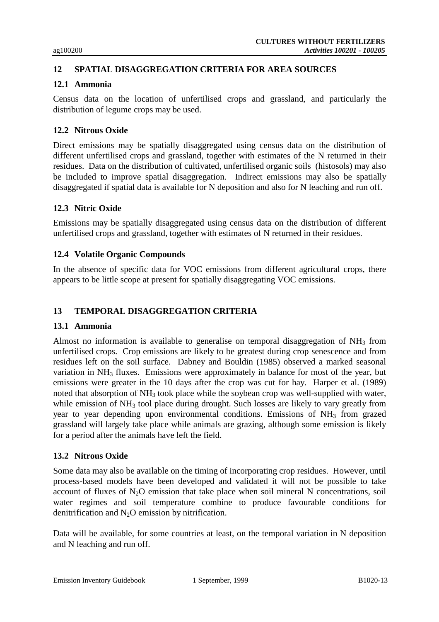# **12 SPATIAL DISAGGREGATION CRITERIA FOR AREA SOURCES**

#### **12.1 Ammonia**

Census data on the location of unfertilised crops and grassland, and particularly the distribution of legume crops may be used.

### **12.2 Nitrous Oxide**

Direct emissions may be spatially disaggregated using census data on the distribution of different unfertilised crops and grassland, together with estimates of the N returned in their residues. Data on the distribution of cultivated, unfertilised organic soils (histosols) may also be included to improve spatial disaggregation. Indirect emissions may also be spatially disaggregated if spatial data is available for N deposition and also for N leaching and run off.

# **12.3 Nitric Oxide**

Emissions may be spatially disaggregated using census data on the distribution of different unfertilised crops and grassland, together with estimates of N returned in their residues.

#### **12.4 Volatile Organic Compounds**

In the absence of specific data for VOC emissions from different agricultural crops, there appears to be little scope at present for spatially disaggregating VOC emissions.

### **13 TEMPORAL DISAGGREGATION CRITERIA**

#### **13.1 Ammonia**

Almost no information is available to generalise on temporal disaggregation of  $NH<sub>3</sub>$  from unfertilised crops. Crop emissions are likely to be greatest during crop senescence and from residues left on the soil surface. Dabney and Bouldin (1985) observed a marked seasonal variation in  $NH_3$  fluxes. Emissions were approximately in balance for most of the year, but emissions were greater in the 10 days after the crop was cut for hay. Harper et al. (1989) noted that absorption of NH<sub>3</sub> took place while the soybean crop was well-supplied with water, while emission of NH<sub>3</sub> tool place during drought. Such losses are likely to vary greatly from year to year depending upon environmental conditions. Emissions of NH<sub>3</sub> from grazed grassland will largely take place while animals are grazing, although some emission is likely for a period after the animals have left the field.

#### **13.2 Nitrous Oxide**

Some data may also be available on the timing of incorporating crop residues. However, until process-based models have been developed and validated it will not be possible to take account of fluxes of  $N_2O$  emission that take place when soil mineral N concentrations, soil water regimes and soil temperature combine to produce favourable conditions for denitrification and N2O emission by nitrification.

Data will be available, for some countries at least, on the temporal variation in N deposition and N leaching and run off.

Emission Inventory Guidebook 1 September, 1999 1920-13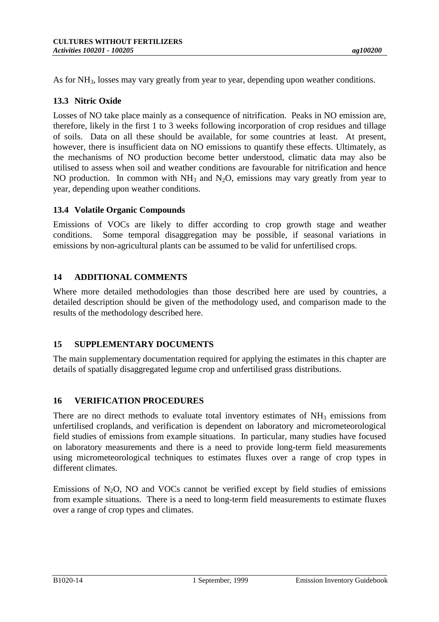As for NH<sub>3</sub>, losses may vary greatly from year to year, depending upon weather conditions.

# **13.3 Nitric Oxide**

Losses of NO take place mainly as a consequence of nitrification. Peaks in NO emission are, therefore, likely in the first 1 to 3 weeks following incorporation of crop residues and tillage of soils. Data on all these should be available, for some countries at least. At present, however, there is insufficient data on NO emissions to quantify these effects. Ultimately, as the mechanisms of NO production become better understood, climatic data may also be utilised to assess when soil and weather conditions are favourable for nitrification and hence NO production. In common with  $NH_3$  and  $N_2O$ , emissions may vary greatly from year to year, depending upon weather conditions.

### **13.4 Volatile Organic Compounds**

Emissions of VOCs are likely to differ according to crop growth stage and weather conditions. Some temporal disaggregation may be possible, if seasonal variations in emissions by non-agricultural plants can be assumed to be valid for unfertilised crops.

### **14 ADDITIONAL COMMENTS**

Where more detailed methodologies than those described here are used by countries, a detailed description should be given of the methodology used, and comparison made to the results of the methodology described here.

### **15 SUPPLEMENTARY DOCUMENTS**

The main supplementary documentation required for applying the estimates in this chapter are details of spatially disaggregated legume crop and unfertilised grass distributions.

### **16 VERIFICATION PROCEDURES**

There are no direct methods to evaluate total inventory estimates of  $NH<sub>3</sub>$  emissions from unfertilised croplands, and verification is dependent on laboratory and micrometeorological field studies of emissions from example situations. In particular, many studies have focused on laboratory measurements and there is a need to provide long-term field measurements using micrometeorological techniques to estimates fluxes over a range of crop types in different climates.

Emissions of  $N_2O$ , NO and VOCs cannot be verified except by field studies of emissions from example situations. There is a need to long-term field measurements to estimate fluxes over a range of crop types and climates.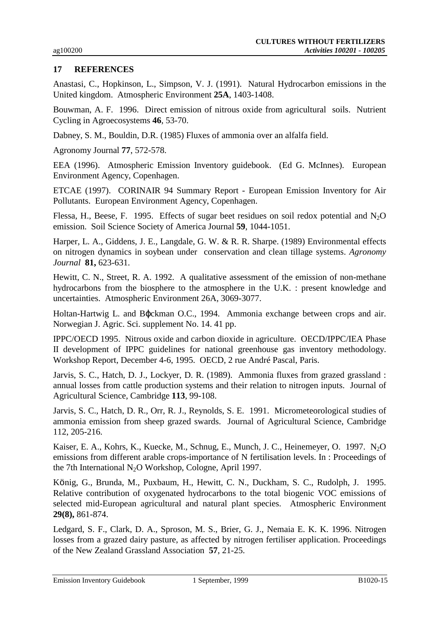#### **17 REFERENCES**

Anastasi, C., Hopkinson, L., Simpson, V. J. (1991). Natural Hydrocarbon emissions in the United kingdom. Atmospheric Environment **25A**, 1403-1408.

Bouwman, A. F. 1996. Direct emission of nitrous oxide from agricultural soils. Nutrient Cycling in Agroecosystems **46**, 53-70.

Dabney, S. M., Bouldin, D.R. (1985) Fluxes of ammonia over an alfalfa field.

Agronomy Journal **77**, 572-578.

EEA (1996). Atmospheric Emission Inventory guidebook. (Ed G. McInnes). European Environment Agency, Copenhagen.

ETCAE (1997). CORINAIR 94 Summary Report - European Emission Inventory for Air Pollutants. European Environment Agency, Copenhagen.

Flessa, H., Beese, F. 1995. Effects of sugar beet residues on soil redox potential and  $N_2O$ emission. Soil Science Society of America Journal **59**, 1044-1051.

Harper, L. A., Giddens, J. E., Langdale, G. W. & R. R. Sharpe. (1989) Environmental effects on nitrogen dynamics in soybean under conservation and clean tillage systems. *Agronomy Journal* **81,** 623-631.

Hewitt, C. N., Street, R. A. 1992. A qualitative assessment of the emission of non-methane hydrocarbons from the biosphere to the atmosphere in the U.K. : present knowledge and uncertainties. Atmospheric Environment 26A, 3069-3077.

Holtan-Hartwig L. and Bϕckman O.C., 1994. Ammonia exchange between crops and air. Norwegian J. Agric. Sci. supplement No. 14. 41 pp.

IPPC/OECD 1995. Nitrous oxide and carbon dioxide in agriculture. OECD/IPPC/IEA Phase II development of IPPC guidelines for national greenhouse gas inventory methodology. Workshop Report, December 4-6, 1995. OECD, 2 rue André Pascal, Paris.

Jarvis, S. C., Hatch, D. J., Lockyer, D. R. (1989). Ammonia fluxes from grazed grassland : annual losses from cattle production systems and their relation to nitrogen inputs. Journal of Agricultural Science, Cambridge **113**, 99-108.

Jarvis, S. C., Hatch, D. R., Orr, R. J., Reynolds, S. E. 1991. Micrometeorological studies of ammonia emission from sheep grazed swards. Journal of Agricultural Science, Cambridge 112, 205-216.

Kaiser, E. A., Kohrs, K., Kuecke, M., Schnug, E., Munch, J. C., Heinemeyer, O. 1997. N<sub>2</sub>O emissions from different arable crops-importance of N fertilisation levels. In : Proceedings of the 7th International N<sub>2</sub>O Workshop, Cologne, April 1997.

König, G., Brunda, M., Puxbaum, H., Hewitt, C. N., Duckham, S. C., Rudolph, J. 1995. Relative contribution of oxygenated hydrocarbons to the total biogenic VOC emissions of selected mid-European agricultural and natural plant species. Atmospheric Environment **29(8),** 861-874.

Ledgard, S. F., Clark, D. A., Sproson, M. S., Brier, G. J., Nemaia E. K. K. 1996. Nitrogen losses from a grazed dairy pasture, as affected by nitrogen fertiliser application. Proceedings of the New Zealand Grassland Association **57**, 21-25.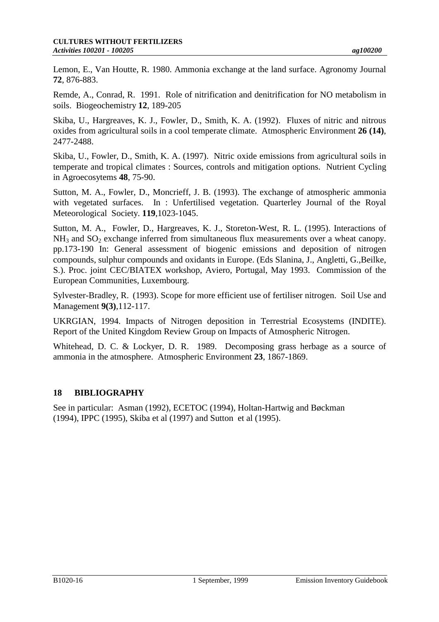Lemon, E., Van Houtte, R. 1980. Ammonia exchange at the land surface. Agronomy Journal **72**, 876-883.

Remde, A., Conrad, R. 1991. Role of nitrification and denitrification for NO metabolism in soils. Biogeochemistry **12**, 189-205

Skiba, U., Hargreaves, K. J., Fowler, D., Smith, K. A. (1992). Fluxes of nitric and nitrous oxides from agricultural soils in a cool temperate climate. Atmospheric Environment **26 (14)**, 2477-2488.

Skiba, U., Fowler, D., Smith, K. A. (1997). Nitric oxide emissions from agricultural soils in temperate and tropical climates : Sources, controls and mitigation options. Nutrient Cycling in Agroecosytems **48**, 75-90.

Sutton, M. A., Fowler, D., Moncrieff, J. B. (1993). The exchange of atmospheric ammonia with vegetated surfaces. In : Unfertilised vegetation. Quarterley Journal of the Royal Meteorological Society. **119**,1023-1045.

Sutton, M. A., Fowler, D., Hargreaves, K. J., Storeton-West, R. L. (1995). Interactions of  $NH<sub>3</sub>$  and  $SO<sub>2</sub>$  exchange inferred from simultaneous flux measurements over a wheat canopy. pp.173-190 In: General assessment of biogenic emissions and deposition of nitrogen compounds, sulphur compounds and oxidants in Europe. (Eds Slanina, J., Angletti, G.,Beilke, S.). Proc. joint CEC/BIATEX workshop, Aviero, Portugal, May 1993. Commission of the European Communities, Luxembourg.

Sylvester-Bradley, R. (1993). Scope for more efficient use of fertiliser nitrogen. Soil Use and Management **9(3)**,112-117.

UKRGIAN, 1994. Impacts of Nitrogen deposition in Terrestrial Ecosystems (INDITE). Report of the United Kingdom Review Group on Impacts of Atmospheric Nitrogen.

Whitehead, D. C. & Lockyer, D. R. 1989. Decomposing grass herbage as a source of ammonia in the atmosphere. Atmospheric Environment **23**, 1867-1869.

# **18 BIBLIOGRAPHY**

See in particular: Asman (1992), ECETOC (1994), Holtan-Hartwig and Bøckman (1994), IPPC (1995), Skiba et al (1997) and Sutton et al (1995).